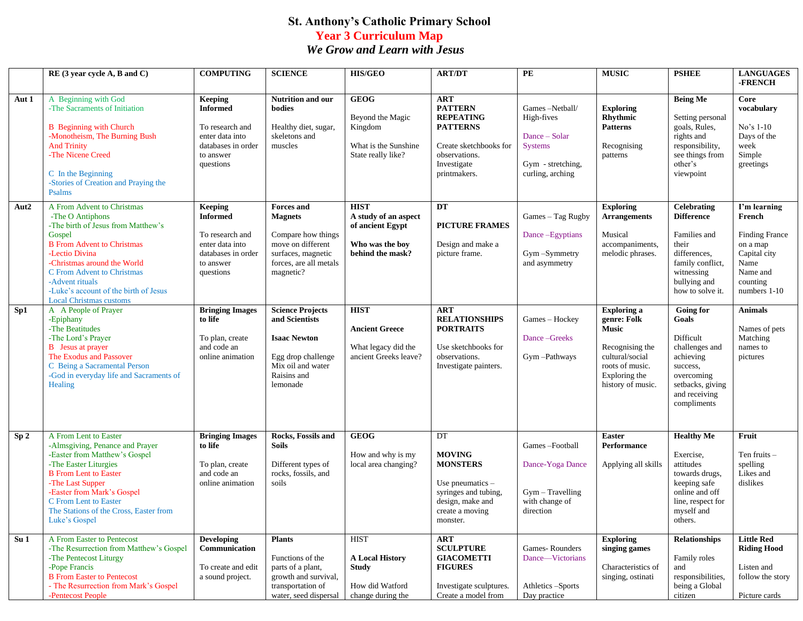## **St. Anthony's Catholic Primary School Year 3 Curriculum Map** *We Grow and Learn with Jesus*

|                 | $RE(3$ year cycle A, B and C)                                                                                                                                                                                                                                                                                    | <b>COMPUTING</b>                                                                                                        | <b>SCIENCE</b>                                                                                                                              | <b>HIS/GEO</b>                                                                                 | <b>ART/DT</b>                                                                                                                                 | $\overline{PE}$                                                                                          | <b>MUSIC</b>                                                                                                                                     | <b>PSHEE</b>                                                                                                                                           | <b>LANGUAGES</b><br>-FRENCH                                                                                                 |
|-----------------|------------------------------------------------------------------------------------------------------------------------------------------------------------------------------------------------------------------------------------------------------------------------------------------------------------------|-------------------------------------------------------------------------------------------------------------------------|---------------------------------------------------------------------------------------------------------------------------------------------|------------------------------------------------------------------------------------------------|-----------------------------------------------------------------------------------------------------------------------------------------------|----------------------------------------------------------------------------------------------------------|--------------------------------------------------------------------------------------------------------------------------------------------------|--------------------------------------------------------------------------------------------------------------------------------------------------------|-----------------------------------------------------------------------------------------------------------------------------|
|                 |                                                                                                                                                                                                                                                                                                                  |                                                                                                                         |                                                                                                                                             |                                                                                                |                                                                                                                                               |                                                                                                          |                                                                                                                                                  |                                                                                                                                                        |                                                                                                                             |
| Aut 1           | A Beginning with God<br>-The Sacraments of Initiation<br><b>B</b> Beginning with Church<br>-Monotheism, The Burning Bush<br><b>And Trinity</b><br>-The Nicene Creed<br>C In the Beginning<br>-Stories of Creation and Praying the<br>Psalms                                                                      | <b>Keeping</b><br><b>Informed</b><br>To research and<br>enter data into<br>databases in order<br>to answer<br>questions | Nutrition and our<br>bodies<br>Healthy diet, sugar,<br>skeletons and<br>muscles                                                             | <b>GEOG</b><br>Beyond the Magic<br>Kingdom<br>What is the Sunshine<br>State really like?       | <b>ART</b><br><b>PATTERN</b><br><b>REPEATING</b><br><b>PATTERNS</b><br>Create sketchbooks for<br>observations.<br>Investigate<br>printmakers. | Games-Netball/<br>High-fives<br>Dance - Solar<br><b>Systems</b><br>Gym - stretching,<br>curling, arching | <b>Exploring</b><br>Rhythmic<br><b>Patterns</b><br>Recognising<br>patterns                                                                       | <b>Being Me</b><br>Setting personal<br>goals, Rules,<br>rights and<br>responsibility,<br>see things from<br>other's<br>viewpoint                       | Core<br>vocabulary<br>$No's 1-10$<br>Days of the<br>week<br>Simple<br>greetings                                             |
| Aut2            | A From Advent to Christmas<br>-The O Antiphons<br>-The birth of Jesus from Matthew's<br>Gospel<br><b>B</b> From Advent to Christmas<br>-Lectio Divina<br>-Christmas around the World<br>C From Advent to Christmas<br>-Advent rituals<br>-Luke's account of the birth of Jesus<br><b>Local Christmas customs</b> | <b>Keeping</b><br><b>Informed</b><br>To research and<br>enter data into<br>databases in order<br>to answer<br>questions | <b>Forces</b> and<br><b>Magnets</b><br>Compare how things<br>move on different<br>surfaces, magnetic<br>forces, are all metals<br>magnetic? | <b>HIST</b><br>A study of an aspect<br>of ancient Egypt<br>Who was the boy<br>behind the mask? | DT<br><b>PICTURE FRAMES</b><br>Design and make a<br>picture frame.                                                                            | Games - Tag Rugby<br>Dance-Egyptians<br>Gym-Symmetry<br>and asymmetry                                    | <b>Exploring</b><br><b>Arrangements</b><br>Musical<br>accompaniments,<br>melodic phrases.                                                        | <b>Celebrating</b><br><b>Difference</b><br>Families and<br>their<br>differences,<br>family conflict,<br>witnessing<br>bullying and<br>how to solve it. | I'm learning<br>French<br><b>Finding France</b><br>on a map<br>Capital city<br>Name<br>Name and<br>counting<br>numbers 1-10 |
| Sp1             | A A People of Prayer<br>-Epiphany<br>-The Beatitudes<br>-The Lord's Prayer<br><b>B</b> Jesus at prayer<br>The Exodus and Passover<br>C Being a Sacramental Person<br>-God in everyday life and Sacraments of<br>Healing                                                                                          | <b>Bringing Images</b><br>to life<br>To plan, create<br>and code an<br>online animation                                 | <b>Science Projects</b><br>and Scientists<br><b>Isaac Newton</b><br>Egg drop challenge<br>Mix oil and water<br>Raisins and<br>lemonade      | <b>HIST</b><br><b>Ancient Greece</b><br>What legacy did the<br>ancient Greeks leave?           | <b>ART</b><br><b>RELATIONSHIPS</b><br><b>PORTRAITS</b><br>Use sketchbooks for<br>observations.<br>Investigate painters.                       | Games - Hockey<br>Dance-Greeks<br>Gym-Pathways                                                           | <b>Exploring a</b><br>genre: Folk<br><b>Music</b><br>Recognising the<br>cultural/social<br>roots of music.<br>Exploring the<br>history of music. | <b>Going for</b><br>Goals<br>Difficult<br>challenges and<br>achieving<br>success,<br>overcoming<br>setbacks, giving<br>and receiving<br>compliments    | Animals<br>Names of pets<br>Matching<br>names to<br>pictures                                                                |
| Sp <sub>2</sub> | A From Lent to Easter<br>-Almsgiving, Penance and Prayer<br>-Easter from Matthew's Gospel<br>-The Easter Liturgies<br><b>B</b> From Lent to Easter<br>-The Last Supper<br>-Easter from Mark's Gospel<br>C From Lent to Easter<br>The Stations of the Cross, Easter from<br>Luke's Gospel                         | <b>Bringing Images</b><br>to life<br>To plan, create<br>and code an<br>online animation                                 | Rocks, Fossils and<br><b>Soils</b><br>Different types of<br>rocks, fossils, and<br>soils                                                    | <b>GEOG</b><br>How and why is my<br>local area changing?                                       | DT<br><b>MOVING</b><br><b>MONSTERS</b><br>Use pneumatics $-$<br>syringes and tubing,<br>design, make and<br>create a moving<br>monster.       | Games-Football<br>Dance-Yoga Dance<br>Gym - Travelling<br>with change of<br>direction                    | <b>Easter</b><br>Performance<br>Applying all skills                                                                                              | <b>Healthy Me</b><br>Exercise.<br>attitudes<br>towards drugs,<br>keeping safe<br>online and off<br>line, respect for<br>myself and<br>others.          | Fruit<br>Ten fruits $-$<br>spelling<br>Likes and<br>dislikes                                                                |
| Su <sub>1</sub> | A From Easter to Pentecost<br>-The Resurrection from Matthew's Gospel<br>-The Pentecost Liturgy<br>-Pope Francis<br><b>B</b> From Easter to Pentecost<br>- The Resurrection from Mark's Gospel<br>-Pentecost People                                                                                              | <b>Developing</b><br>Communication<br>To create and edit<br>a sound project.                                            | <b>Plants</b><br>Functions of the<br>parts of a plant,<br>growth and survival,<br>transportation of<br>water, seed dispersal                | <b>HIST</b><br><b>A Local History</b><br>Study<br>How did Watford<br>change during the         | <b>ART</b><br><b>SCULPTURE</b><br><b>GIACOMETTI</b><br><b>FIGURES</b><br>Investigate sculptures.<br>Create a model from                       | Games-Rounders<br>Dance-Victorians<br>Athletics -Sports<br>Day practice                                  | <b>Exploring</b><br>singing games<br>Characteristics of<br>singing, ostinati                                                                     | <b>Relationships</b><br>Family roles<br>and<br>responsibilities,<br>being a Global<br>citizen                                                          | <b>Little Red</b><br><b>Riding Hood</b><br>Listen and<br>follow the story<br>Picture cards                                  |